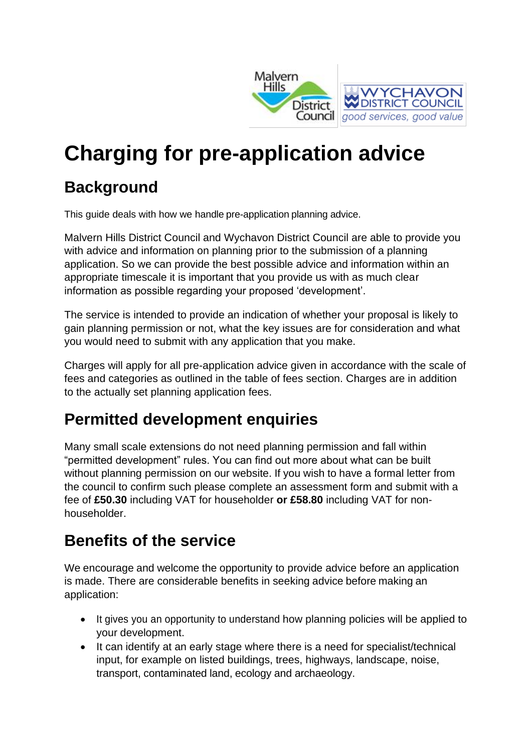

# **Charging for pre-application advice**

# **Background**

This guide deals with how we handle pre-application planning advice.

Malvern Hills District Council and Wychavon District Council are able to provide you with advice and information on planning prior to the submission of a planning application. So we can provide the best possible advice and information within an appropriate timescale it is important that you provide us with as much clear information as possible regarding your proposed 'development'.

The service is intended to provide an indication of whether your proposal is likely to gain planning permission or not, what the key issues are for consideration and what you would need to submit with any application that you make.

Charges will apply for all pre-application advice given in accordance with the scale of fees and categories as outlined in the table of fees section. Charges are in addition to the actually set planning application fees.

# **Permitted development enquiries**

Many small scale extensions do not need planning permission and fall within "permitted development" rules. You can find out more about what can be built without planning permission on our website. If you wish to have a formal letter from the council to confirm such please complete an assessment form and submit with a fee of **£50.30** including VAT for householder **or £58.80** including VAT for nonhouseholder.

### **Benefits of the service**

We encourage and welcome the opportunity to provide advice before an application is made. There are considerable benefits in seeking advice before making an application:

- It gives you an opportunity to understand how planning policies will be applied to your development.
- It can identify at an early stage where there is a need for specialist/technical input, for example on listed buildings, trees, highways, landscape, noise, transport, contaminated land, ecology and archaeology.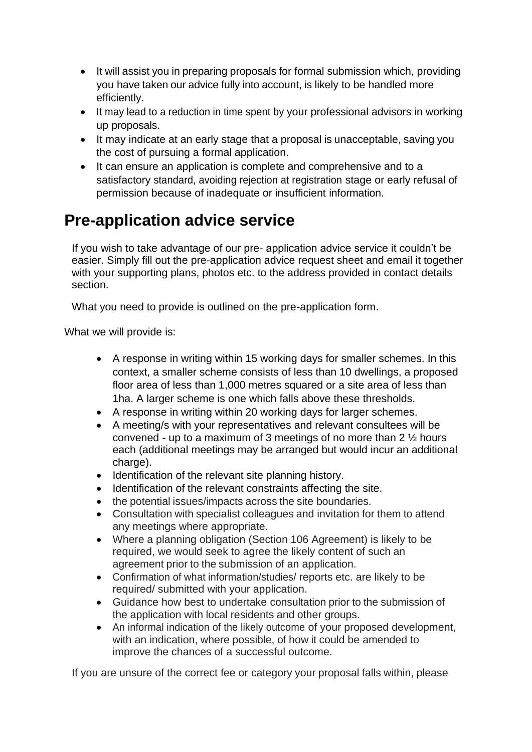- It will assist you in preparing proposals for formal submission which, providing you have taken our advice fully into account, is likely to be handled more efficiently.
- It may lead to a reduction in time spent by your professional advisors in working up proposals.
- It may indicate at an early stage that a proposal is unacceptable, saving you the cost of pursuing a formal application.
- It can ensure an application is complete and comprehensive and to a satisfactory standard, avoiding rejection at registration stage or early refusal of permission because of inadequate or insufficient information.

### **Pre-application advice service**

If you wish to take advantage of our pre- application advice service it couldn't be easier. Simply fill out the pre-application advice request sheet and email it together with your supporting plans, photos etc. to the address provided in contact details section.

What you need to provide is outlined on the pre-application form.

What we will provide is:

- A response in writing within 15 working days for smaller schemes. In this context, a smaller scheme consists of less than 10 dwellings, a proposed floor area of less than 1,000 metres squared or a site area of less than 1ha. A larger scheme is one which falls above these thresholds.
- A response in writing within 20 working days for larger schemes.
- A meeting/s with your representatives and relevant consultees will be convened - up to a maximum of 3 meetings of no more than 2 ½ hours each (additional meetings may be arranged but would incur an additional charge).
- Identification of the relevant site planning history.
- Identification of the relevant constraints affecting the site.
- the potential issues/impacts across the site boundaries.
- Consultation with specialist colleagues and invitation for them to attend any meetings where appropriate.
- Where a planning obligation (Section 106 Agreement) is likely to be required, we would seek to agree the likely content of such an agreement prior to the submission of an application.
- Confirmation of what information/studies/ reports etc. are likely to be required/ submitted with your application.
- Guidance how best to undertake consultation prior to the submission of the application with local residents and other groups.
- An informal indication of the likely outcome of your proposed development, with an indication, where possible, of how it could be amended to improve the chances of a successful outcome.

If you are unsure of the correct fee or category your proposal falls within, please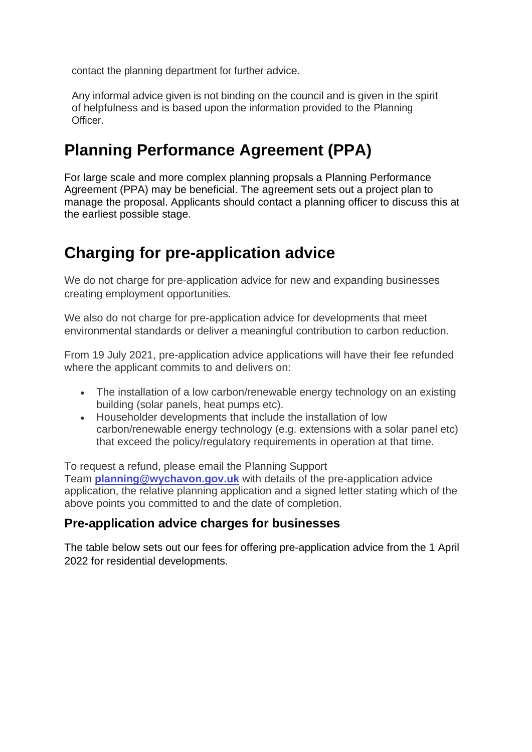contact the planning department for further advice.

Any informal advice given is not binding on the council and is given in the spirit of helpfulness and is based upon the information provided to the Planning Officer.

### **Planning Performance Agreement (PPA)**

For large scale and more complex planning propsals a Planning Performance Agreement (PPA) may be beneficial. The agreement sets out a project plan to manage the proposal. Applicants should contact a planning officer to discuss this at the earliest possible stage.

# **Charging for pre-application advice**

We do not charge for pre-application advice for new and expanding businesses creating employment opportunities.

We also do not charge for pre-application advice for developments that meet environmental standards or deliver a meaningful contribution to carbon reduction.

From 19 July 2021, pre-application advice applications will have their fee refunded where the applicant commits to and delivers on:

- The installation of a low carbon/renewable energy technology on an existing building (solar panels, heat pumps etc).
- Householder developments that include the installation of low carbon/renewable energy technology (e.g. extensions with a solar panel etc) that exceed the policy/regulatory requirements in operation at that time.

To request a refund, please email the Planning Support Team **[planning@wychavon.gov.uk](mailto:planning@wychavon.gov.uk)** with details of the pre-application advice application, the relative planning application and a signed letter stating which of the above points you committed to and the date of completion.

#### **Pre-application advice charges for businesses**

The table below sets out our fees for offering pre-application advice from the 1 April 2022 for residential developments.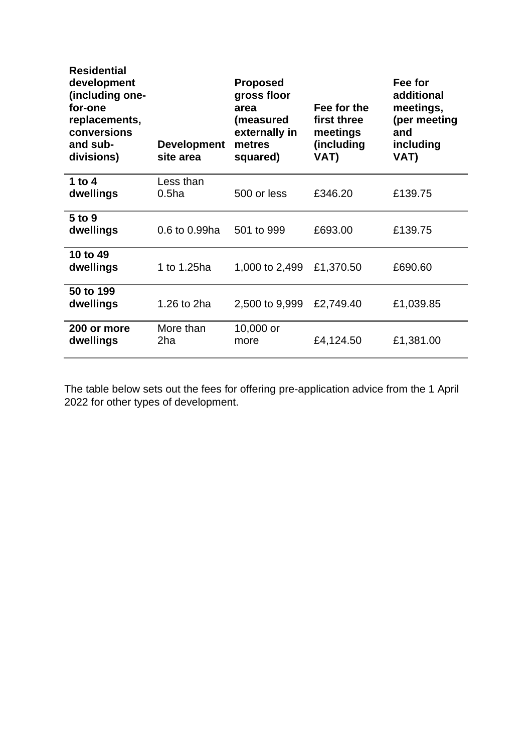| <b>Residential</b><br>development<br>(including one-<br>for-one<br>replacements,<br>conversions<br>and sub-<br>divisions) | <b>Development</b><br>site area | <b>Proposed</b><br>gross floor<br>area<br>(measured<br>externally in<br>metres<br>squared) | Fee for the<br>first three<br>meetings<br>(including<br>VAT) | Fee for<br>additional<br>meetings,<br>(per meeting<br>and<br>including<br>VAT) |
|---------------------------------------------------------------------------------------------------------------------------|---------------------------------|--------------------------------------------------------------------------------------------|--------------------------------------------------------------|--------------------------------------------------------------------------------|
| 1 to $4$<br>dwellings                                                                                                     | Less than<br>0.5 <sub>ha</sub>  | 500 or less                                                                                | £346.20                                                      | £139.75                                                                        |
| 5 to 9<br>dwellings                                                                                                       | 0.6 to 0.99ha                   | 501 to 999                                                                                 | £693.00                                                      | £139.75                                                                        |
| 10 to 49<br>dwellings                                                                                                     | 1 to 1.25ha                     | 1,000 to 2,499                                                                             | £1,370.50                                                    | £690.60                                                                        |
| 50 to 199<br>dwellings                                                                                                    | 1.26 to 2ha                     | 2,500 to 9,999                                                                             | £2,749.40                                                    | £1,039.85                                                                      |
| 200 or more<br>dwellings                                                                                                  | More than<br>2ha                | 10,000 or<br>more                                                                          | £4,124.50                                                    | £1,381.00                                                                      |

The table below sets out the fees for offering pre-application advice from the 1 April 2022 for other types of development.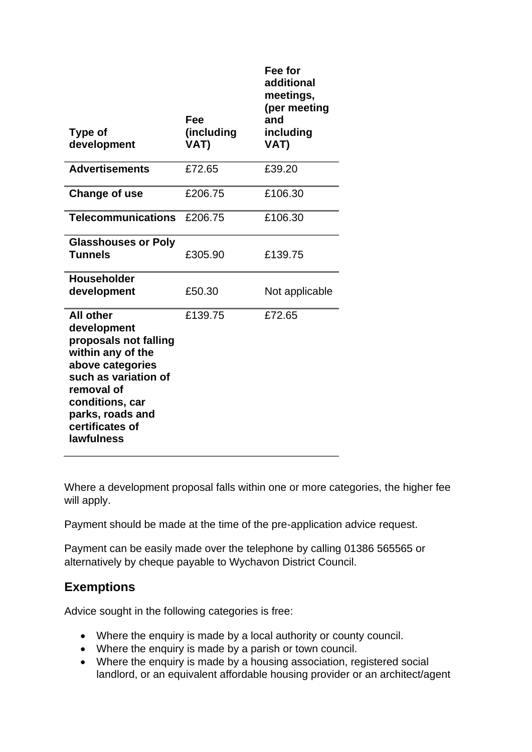| Type of<br>development                                                                                                                                                                                          | Fee<br>(including<br>VAT) | Fee for<br>additional<br>meetings,<br>(per meeting<br>and<br>including<br>VAT) |
|-----------------------------------------------------------------------------------------------------------------------------------------------------------------------------------------------------------------|---------------------------|--------------------------------------------------------------------------------|
|                                                                                                                                                                                                                 |                           |                                                                                |
| <b>Advertisements</b>                                                                                                                                                                                           | £72.65                    | £39.20                                                                         |
| Change of use                                                                                                                                                                                                   | £206.75                   | £106.30                                                                        |
| <b>Telecommunications</b>                                                                                                                                                                                       | £206.75                   | £106.30                                                                        |
| <b>Glasshouses or Poly</b><br><b>Tunnels</b>                                                                                                                                                                    | £305.90                   | £139.75                                                                        |
| <b>Householder</b><br>development                                                                                                                                                                               | £50.30                    | Not applicable                                                                 |
| <b>All other</b><br>development<br>proposals not falling<br>within any of the<br>above categories<br>such as variation of<br>removal of<br>conditions, car<br>parks, roads and<br>certificates of<br>lawfulness | £139.75                   | £72.65                                                                         |

Where a development proposal falls within one or more categories, the higher fee will apply.

Payment should be made at the time of the pre-application advice request.

Payment can be easily made over the telephone by calling 01386 565565 or alternatively by cheque payable to Wychavon District Council.

#### **Exemptions**

Advice sought in the following categories is free:

- Where the enquiry is made by a local authority or county council.
- Where the enquiry is made by a parish or town council.
- Where the enquiry is made by a housing association, registered social landlord, or an equivalent affordable housing provider or an architect/agent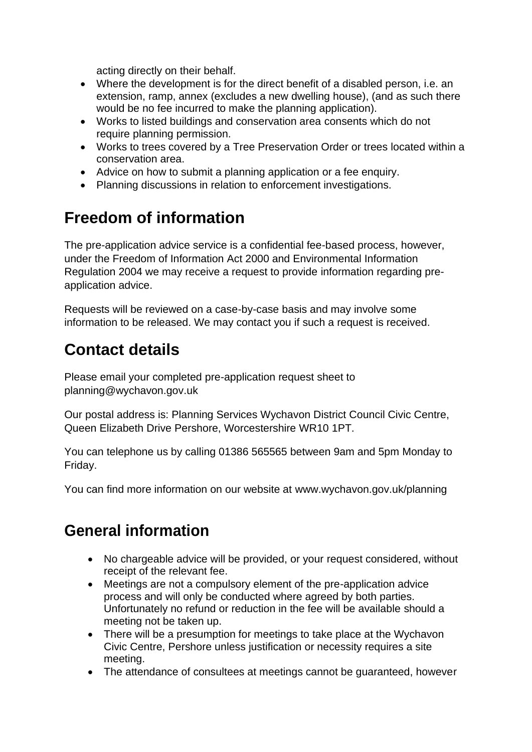acting directly on their behalf.

- Where the development is for the direct benefit of a disabled person, i.e. an extension, ramp, annex (excludes a new dwelling house), (and as such there would be no fee incurred to make the planning application).
- Works to listed buildings and conservation area consents which do not require planning permission.
- Works to trees covered by a Tree Preservation Order or trees located within a conservation area.
- Advice on how to submit a planning application or a fee enquiry.
- Planning discussions in relation to enforcement investigations.

# **Freedom of information**

The pre-application advice service is a confidential fee-based process, however, under the Freedom of Information Act 2000 and Environmental Information Regulation 2004 we may receive a request to provide information regarding preapplication advice.

Requests will be reviewed on a case-by-case basis and may involve some information to be released. We may contact you if such a request is received.

# **Contact details**

Please email your completed pre-application request sheet to [planning@wychavon.gov.uk](mailto:planning@wychavon.gov.uk)

Our postal address is: Planning Services Wychavon District Council Civic Centre, Queen Elizabeth Drive Pershore, Worcestershire WR10 1PT.

You can telephone us by calling 01386 565565 between 9am and 5pm Monday to Friday.

You can find more information on our website at [www.wychavon.gov.uk/planning](http://www.wychavon.gov.uk/planning)

# **General information**

- No chargeable advice will be provided, or your request considered, without receipt of the relevant fee.
- Meetings are not a compulsory element of the pre-application advice process and will only be conducted where agreed by both parties. Unfortunately no refund or reduction in the fee will be available should a meeting not be taken up.
- There will be a presumption for meetings to take place at the Wychavon Civic Centre, Pershore unless justification or necessity requires a site meeting.
- The attendance of consultees at meetings cannot be guaranteed, however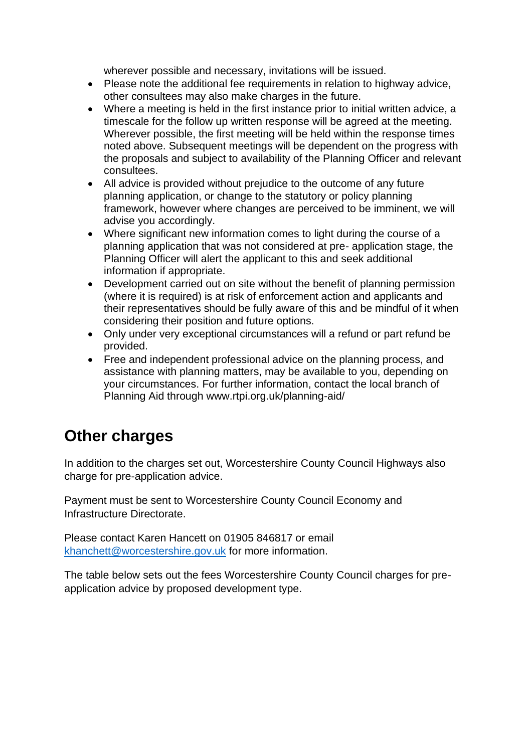wherever possible and necessary, invitations will be issued.

- Please note the additional fee requirements in relation to highway advice, other consultees may also make charges in the future.
- Where a meeting is held in the first instance prior to initial written advice, a timescale for the follow up written response will be agreed at the meeting. Wherever possible, the first meeting will be held within the response times noted above. Subsequent meetings will be dependent on the progress with the proposals and subject to availability of the Planning Officer and relevant consultees.
- All advice is provided without prejudice to the outcome of any future planning application, or change to the statutory or policy planning framework, however where changes are perceived to be imminent, we will advise you accordingly.
- Where significant new information comes to light during the course of a planning application that was not considered at pre- application stage, the Planning Officer will alert the applicant to this and seek additional information if appropriate.
- Development carried out on site without the benefit of planning permission (where it is required) is at risk of enforcement action and applicants and their representatives should be fully aware of this and be mindful of it when considering their position and future options.
- Only under very exceptional circumstances will a refund or part refund be provided.
- Free and independent professional advice on the planning process, and assistance with planning matters, may be available to you, depending on your circumstances. For further information, contact the local branch of Planning Aid through [www.rtpi.org.uk/planning-aid/](http://www.rtpi.org.uk/planning-aid/)

### **Other charges**

In addition to the charges set out, Worcestershire County Council Highways also charge for pre-application advice.

Payment must be sent to Worcestershire County Council Economy and Infrastructure Directorate.

Please contact Karen Hancett on 01905 846817 or email [khanchett@worcestershire.gov.uk](mailto:khanchett@worcestershire.gov.uk) for more information.

The table below sets out the fees Worcestershire County Council charges for preapplication advice by proposed development type.